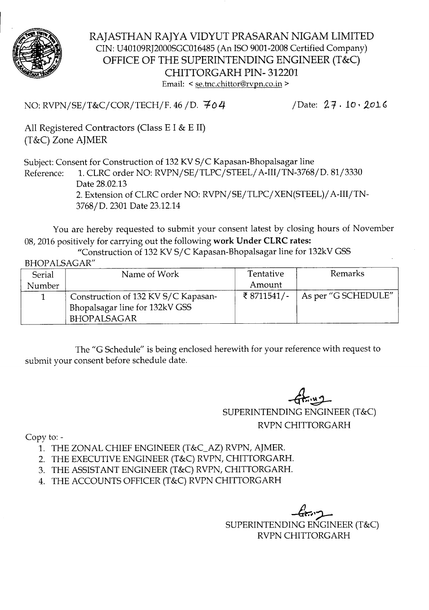

RAJASTHAN RAJYA VIDYUT PRASARAN NIGAM LIMITED CIN: U40109RJ2000SGC016485 (An ISO 9001-2008 Certified Company) OFFICE OF THE SUPERINTENDING ENGINEER (T&C) CHITTORGARH PIN- 312201 Email: < se.tnc.chittor@rvpn.co.in >

NO: RVPN/SE/T&C/COR/TECH/F. 46 / D. 704 /Date: 27. 10. 2016

All Registered Contractors (Class E I & E II) (T&C) Zone AJMER

Subject: Consent for Construction of 132 KV S/C Kapasan-Bhopalsagar line

Reference: 1.CLRC order NO: RVPN/SE/TLPC/STEEL/ A-III/TN-3768/D. 81/3330 Date 28.02.13 2. Extension of CLRC order NO: RVPN/SE/TLPC/XEN(STEEL)/ A-III/TN-3768/D. 2301 Date 23.12.14

You are hereby requested to submit your consent latest by closing hours of November 08,2016 positively for carrying out the following work Under CLRC rates:

"Construction of 132 KV S/C Kapasan-Bhopalsagar line for 132kV GSS

## BHOP ALSAGAR"

| Serial | Name of Work                        | Tentative   | Remarks             |
|--------|-------------------------------------|-------------|---------------------|
| Number |                                     | Amount      |                     |
|        | Construction of 132 KV S/C Kapasan- | ₹ 8711541/- | As per "G SCHEDULE" |
|        | Bhopalsagar line for 132kV GSS      |             |                     |
|        | <b>BHOPALSAGAR</b>                  |             |                     |

The "G Schedule" is being enclosed herewith for your reference with request to submit your consent before schedule date.

 $-6k$   $+2$ 

SUPERINTENDING ENGINEER (T&C) RVPN CHITTORGARH

Copy to:-

- 1. THE ZONAL CHIEF ENGINEER (T&C\_AZ) RVPN, AJMER.
- 2. THE EXECUTIVE ENGINEER (T&C) RVPN, CHITTORGARH.
- 3. THE ASSISTANT ENGINEER (T&C) RVPN, CHITTORGARH.
- 4. THE ACCOUNTS OFFICER (T&C) RVPN CHITTORGARH

 $-6$ c $\sim$ SUPERINTENDING ENGINEER (T&C) RVPN CHITTORGARH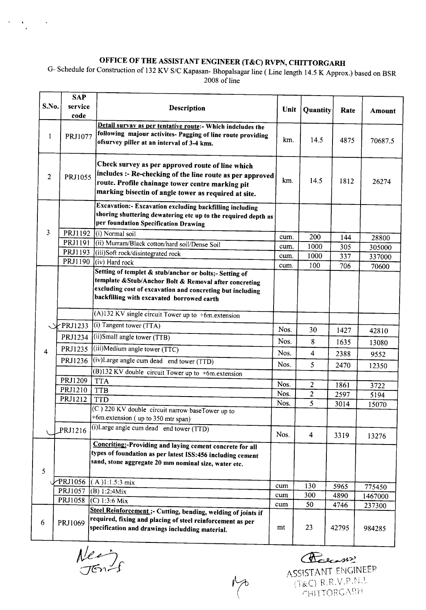## OFFICE OF THE ASSISTANT ENGINEER (T&C) RVPN, CHITTORGARH

G- Schedule for Construction of 132 KV *SIC* Kapasan- Bhopalsagar line ( Line length 14.5 K Approx.) based on BSR 2008 of line

|                         | <b>SAP</b>       |                                                                                                                                                                                                                            |      |                |              |                   |
|-------------------------|------------------|----------------------------------------------------------------------------------------------------------------------------------------------------------------------------------------------------------------------------|------|----------------|--------------|-------------------|
| S.No.                   | service<br>code  | Description                                                                                                                                                                                                                | Unit | Quantity       | Rate         | <b>Amount</b>     |
| 1                       | PRJ1077          | Detail survay as per tentative route: Which indeludes the<br>following majour activites- Pagging of line route providing<br>ofsurvey piller at an interval of 3-4 kms.                                                     | km.  | 14.5           | 4875         | 70687.5           |
| 2                       | PRJ1055          | Check survey as per approved route of line which<br>includes :- Re-checking of the line route as per approved<br>route. Profile chainage tower centre marking pit<br>marking bisectin of angle tower as required at site.  | km.  | 14.5           | 1812         | 26274             |
|                         |                  | Excavation:- Excavation excluding backfilling including<br>shoring shuttering dewatering etc up to the required depth as<br>per foundation Specification Drawing                                                           |      |                |              |                   |
| 3                       | PRJ1192          | (i) Normal soil                                                                                                                                                                                                            | cum. | 200            | 144          | 28800             |
|                         | PRJ1191          | (ii) Murram/Black cotton/hard soil/Dense Soil                                                                                                                                                                              | cum. | 1000           | 305          | 305000            |
|                         | PRJ1193          | (iii)Soft rock/disintegrated rock                                                                                                                                                                                          | cum. | 1000           | 337          | 337000            |
|                         | PRJ1190          | $(iv)$ Hard rock                                                                                                                                                                                                           | cum. | 100            | 706          | 70600             |
|                         |                  | Setting of templet & stub/anchor or bolts;- Setting of<br>template & Stub/Anchor Bolt & Removal after concreting<br>excluding cost of excavation and concreting but including<br>backfilling with excavated borrowed earth |      |                |              |                   |
|                         |                  | $\sqrt{(A)132}$ KV single circuit Tower up to +6m.extension                                                                                                                                                                |      |                |              |                   |
|                         | $\sqrt{PRJ1233}$ | (i) Tangent tower $(TTA)$                                                                                                                                                                                                  | Nos. | 30             | 1427         | 42810             |
|                         | PRJ1234          | (ii)Small angle tower (TTB)                                                                                                                                                                                                | Nos. | 8              | 1635         | 13080             |
| $\overline{\mathbf{4}}$ | PRJ1235          | (iii)Medium angle tower (TTC)                                                                                                                                                                                              | Nos. | 4              | 2388         | 9552              |
|                         | PRJ1236          | (iv)Large angle cum dead end tower (TTD)                                                                                                                                                                                   | Nos. | 5              | 2470         | 12350             |
|                         |                  | (B)132 KV double circuit Tower up to +6m.extension                                                                                                                                                                         |      |                |              |                   |
|                         | PRJ1209          | <b>TTA</b>                                                                                                                                                                                                                 | Nos. | $\overline{2}$ | 1861         | 3722              |
|                         | PRJ1210          | <b>TTB</b>                                                                                                                                                                                                                 | Nos. | $\overline{c}$ | 2597         | 5194              |
|                         | PRJ1212          | <b>TTD</b>                                                                                                                                                                                                                 | Nos. | 5              | 3014         | 15070             |
|                         |                  | (C) 220 KV double circuit narrow baseTower up to<br>$+6$ m. extension (up to 350 mtr span)                                                                                                                                 |      |                |              |                   |
|                         | PRJ1216          | (i) Large angle cum dead end tower (TTD)                                                                                                                                                                                   | Nos. | 4              | 3319         | 13276             |
| 5                       |                  | Concriting:-Providing and laying cement concrete for all<br>types of foundation as per latest ISS:456 including cement<br>sand, stone aggregate 20 mm nominal size, water etc.                                             |      |                |              |                   |
|                         | PRJ1056          | (A)1:1.5:3 mix                                                                                                                                                                                                             | cum  | 130            |              |                   |
|                         | PRJ1057          | (B) 1:2:4Mix                                                                                                                                                                                                               | cum  | 300            | 5965<br>4890 | 775450<br>1467000 |
|                         |                  | PRJ1058 (C) 1:3:6 Mix                                                                                                                                                                                                      | cum  | 50             | 4746         | 237300            |
| 6                       | PRJ1069          | Steel Reinforcement ;- Cutting, bending, welding of joints if<br>required, fixing and placing of steel reinforcement as per<br>specification and drawings includding material.                                             | mt   | 23             | 42795        | 984285            |

 $Meq$ 

 $\mathcal{F}^{\text{c}}_{\text{c}}$  ,  $\mathcal{F}^{\text{c}}_{\text{c}}$ 

Recent ASSISTANT ENGINEER  $(T & C) R.R.V.P.N.1$ CHITTORGARH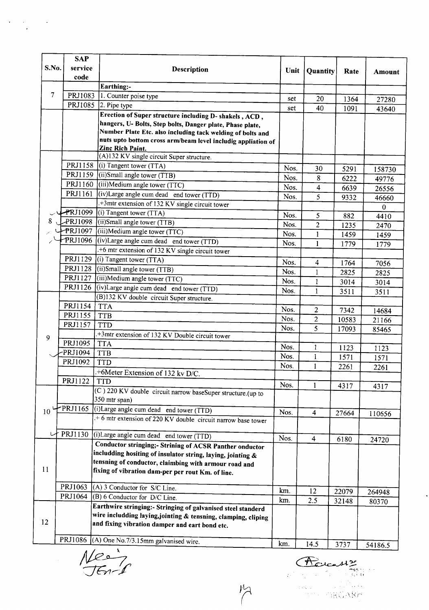|       | <b>SAP</b> |                                                                                                                            |      |                         |       |          |
|-------|------------|----------------------------------------------------------------------------------------------------------------------------|------|-------------------------|-------|----------|
| S.No. | service    | <b>Description</b>                                                                                                         | Unit | Quantity                | Rate  | Amount   |
|       | code       |                                                                                                                            |      |                         |       |          |
|       |            | Earthing:-                                                                                                                 |      |                         |       |          |
| 7     | PRJ1083    | 1. Counter poise type                                                                                                      | set  | 20                      | 1364  | 27280    |
|       | PRJ1085    | 2. Pipe type                                                                                                               | set  | 40                      | 1091  | 43640    |
|       |            | Erection of Super structure including D- shakels, ACD,                                                                     |      |                         |       |          |
|       |            | hangers, U- Bolts, Step bolts, Danger plate, Phase plate,                                                                  |      |                         |       |          |
|       |            | Number Plate Etc. also including tack welding of bolts and<br>nuts upto bottom cross arm/beam level includig appliation of |      |                         |       |          |
|       |            | <b>Zinc Rich Paint.</b>                                                                                                    |      |                         |       |          |
|       |            | $\sqrt{(A)132}$ KV single circuit Super structure.                                                                         |      |                         |       |          |
|       | PRJ1158    | (i) Tangent tower $(TTA)$                                                                                                  | Nos. | 30                      | 5291  | 158730   |
|       |            | PRJ1159 (ii)Small angle tower (TTB)                                                                                        | Nos. | 8                       | 6222  | 49776    |
|       |            | PRJ1160 (iii)Medium angle tower (TTC)                                                                                      | Nos. | $\overline{\mathbf{4}}$ | 6639  | 26556    |
|       | PRJ1161    | (iv)Large angle cum dead end tower $(TTD)$                                                                                 | Nos. | 5                       | 9332  | 46660    |
|       |            | $\sqrt{3\pi}$ +3mtr extension of 132 KV single circuit tower                                                               |      |                         |       | $\bf{0}$ |
|       | PRJ1099    | (i) Tangent tower $(TTA)$                                                                                                  | Nos. | 5                       | 882   | 4410     |
| 8     | PRJ1098    | (ii)Small angle tower (TTB)                                                                                                | Nos. | $\overline{c}$          | 1235  | 2470     |
|       |            | PRJ1097 (iii)Medium angle tower (TTC)                                                                                      | Nos. | $\mathbf{1}$            | 1459  | 1459     |
|       | PRJ1096    | (iv)Large angle cum dead end tower (TTD)                                                                                   | Nos. | 1                       | 1779  | 1779     |
|       |            | .+6 mtr extension of 132 KV single circuit tower                                                                           |      |                         |       |          |
|       |            | PRJ1129 (i) Tangent tower (TTA)                                                                                            | Nos. | 4                       | 1764  | 7056     |
|       | PRJ1128    | $(iii)$ Small angle tower $(TTB)$                                                                                          | Nos. | $\mathbf{1}$            | 2825  | 2825     |
|       | PRJ1127    | $(iii)$ Medium angle tower $(TTC)$                                                                                         | Nos. | $\mathbf{1}$            | 3014  | 3014     |
|       |            | PRJ1126 (iv)Large angle cum dead end tower (TTD)                                                                           | Nos. | 1                       | 3511  | 3511     |
|       |            | (B)132 KV double circuit Super structure.                                                                                  |      |                         |       |          |
|       | PRJ1154    | <b>TTA</b>                                                                                                                 | Nos. | $\overline{2}$          | 7342  | 14684    |
|       | PRJ1155    | <b>TTB</b>                                                                                                                 | Nos. | $\mathbf{2}$            | 10583 | 21166    |
|       | PRJ1157    | <b>TTD</b>                                                                                                                 | Nos. | 5                       | 17093 | 85465    |
| 9     |            | .+3mtr extension of 132 KV Double circuit tower                                                                            |      |                         |       |          |
|       | PRJ1095    | <b>TTA</b>                                                                                                                 | Nos. | 1                       | 1123  | 1123     |
|       | PRJ1094    | <b>TTB</b>                                                                                                                 | Nos. | 1                       | 1571  | 1571     |
|       | PRJ1092    | <b>TTD</b>                                                                                                                 | Nos. | 1                       | 2261  | 2261     |
|       |            | .+6Meter Extension of 132 kv D/C.                                                                                          |      |                         |       |          |
|       | PRJ1122    | TTD                                                                                                                        | Nos. | $\mathbf{1}$            | 4317  | 4317     |
|       |            | (C) 220 KV double circuit narrow baseSuper structure.(up to                                                                |      |                         |       |          |
|       |            | 350 mtr span)                                                                                                              |      |                         |       |          |
| 10    | PRJ1165    | (i) Large angle cum dead end tower (TTD)                                                                                   | Nos. | $\overline{\mathbf{4}}$ | 27664 | 110656   |
|       |            | +6 mtr extension of 220 KV double circuit narrow base tower                                                                |      |                         |       |          |
| レ     | PRJ1130    | (i) Large angle cum dead end tower (TTD)                                                                                   |      |                         |       |          |
|       |            |                                                                                                                            | Nos. | $\overline{\mathbf{4}}$ | 6180  | 24720    |
|       |            | Conductor stringing;- Strining of ACSR Panther onductor<br>includding hositing of insulator string, laying, jointing &     |      |                         |       |          |
|       |            | tensning of conductor, claimbing with armour road and                                                                      |      |                         |       |          |
| 11    |            | fixing of vibration dam-per per rout Km. of line.                                                                          |      |                         |       |          |
|       |            |                                                                                                                            |      |                         |       |          |
|       | PRJ1063    | (A) 3 Conductor for S/C Line.                                                                                              | km.  | 12                      | 22079 | 264948   |
|       | PRJ1064    | (B) 6 Conductor for D/C Line.                                                                                              | km.  | 2.5                     | 32148 | 80370    |
|       |            | Earthwire stringing:- Stringing of galvanised steel standerd                                                               |      |                         |       |          |
|       |            | wire includding laying,jointing & tensning, clamping, cliping                                                              |      |                         |       |          |
| 12    |            | and fixing vibration damper and eart bond etc.                                                                             |      |                         |       |          |
|       | PRJ1086    | (A) One No.7/3.15mm galvanised wire.                                                                                       |      |                         |       |          |
|       |            |                                                                                                                            | km.  | 14.5                    | 3737  | 54186.5  |

 $M$ 

 $\label{eq:2} \frac{1}{2}\int_{\mathbb{R}^3}\frac{d\mu}{\mu}\left(\frac{d\mu}{\mu}\right)^2\frac{d\mu}{\mu}\left(\frac{d\mu}{\mu}\right)^2\frac{d\mu}{\mu}\left(\frac{d\mu}{\mu}\right)^2.$ 

Rouasse  $\frac{1}{k}$  .

 $\ddot{\phantom{a}}$